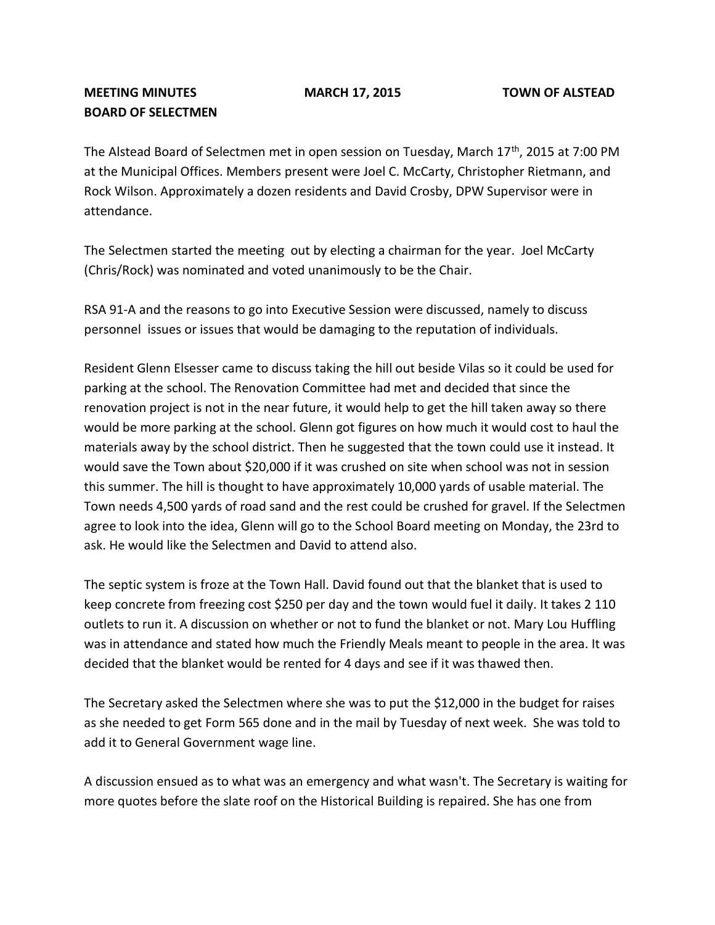## **MEETING MINUTES MARCH 17, 2015 TOWN OF ALSTEAD BOARD OF SELECTMEN**

The Alstead Board of Selectmen met in open session on Tuesday, March 17<sup>th</sup>, 2015 at 7:00 PM at the Municipal Offices. Members present were Joel C. McCarty, Christopher Rietmann, and Rock Wilson. Approximately a dozen residents and David Crosby, DPW Supervisor were in attendance.

The Selectmen started the meeting out by electing a chairman for the year. Joel McCarty (Chris/Rock) was nominated and voted unanimously to be the Chair.

RSA 91-A and the reasons to go into Executive Session were discussed, namely to discuss personnel issues or issues that would be damaging to the reputation of individuals.

Resident Glenn Elsesser came to discuss taking the hill out beside Vilas so it could be used for parking at the school. The Renovation Committee had met and decided that since the renovation project is not in the near future, it would help to get the hill taken away so there would be more parking at the school. Glenn got figures on how much it would cost to haul the materials away by the school district. Then he suggested that the town could use it instead. It would save the Town about \$20,000 if it was crushed on site when school was not in session this summer. The hill is thought to have approximately 10,000 yards of usable material. The Town needs 4,500 yards of road sand and the rest could be crushed for gravel. If the Selectmen agree to look into the idea, Glenn will go to the School Board meeting on Monday, the 23rd to ask. He would like the Selectmen and David to attend also.

The septic system is froze at the Town Hall. David found out that the blanket that is used to keep concrete from freezing cost \$250 per day and the town would fuel it daily. It takes 2 110 outlets to run it. A discussion on whether or not to fund the blanket or not. Mary Lou Huffling was in attendance and stated how much the Friendly Meals meant to people in the area. It was decided that the blanket would be rented for 4 days and see if it was thawed then.

The Secretary asked the Selectmen where she was to put the \$12,000 in the budget for raises as she needed to get Form 565 done and in the mail by Tuesday of next week. She was told to add it to General Government wage line.

A discussion ensued as to what was an emergency and what wasn't. The Secretary is waiting for more quotes before the slate roof on the Historical Building is repaired. She has one from